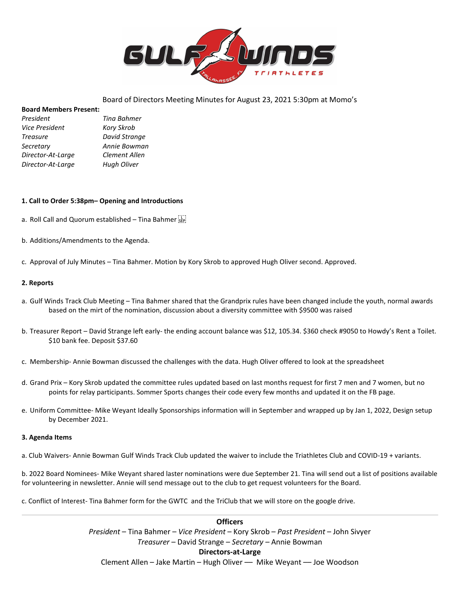

# Board of Directors Meeting Minutes for August 23, 2021 5:30pm at Momo's

### **Board Members Present:**

| Tina Bahmer       |
|-------------------|
| <b>Kory Skrob</b> |
| David Strange     |
| Annie Bowman      |
| Clement Allen     |
| Hugh Oliver       |
|                   |

### **1. Call to Order 5:38pm– Opening and Introductions**

- a. Roll Call and Quorum established Tina Bahmer
- b. Additions/Amendments to the Agenda.
- c. Approval of July Minutes Tina Bahmer. Motion by Kory Skrob to approved Hugh Oliver second. Approved.

### **2. Reports**

- a. Gulf Winds Track Club Meeting Tina Bahmer shared that the Grandprix rules have been changed include the youth, normal awards based on the mirt of the nomination, discussion about a diversity committee with \$9500 was raised
- b. Treasurer Report David Strange left early- the ending account balance was \$12, 105.34. \$360 check #9050 to Howdy's Rent a Toilet. \$10 bank fee. Deposit \$37.60
- c. Membership- Annie Bowman discussed the challenges with the data. Hugh Oliver offered to look at the spreadsheet
- d. Grand Prix Kory Skrob updated the committee rules updated based on last months request for first 7 men and 7 women, but no points for relay participants. Sommer Sports changes their code every few months and updated it on the FB page.
- e. Uniform Committee- Mike Weyant Ideally Sponsorships information will in September and wrapped up by Jan 1, 2022, Design setup by December 2021.

### **3. Agenda Items**

a. Club Waivers- Annie Bowman Gulf Winds Track Club updated the waiver to include the Triathletes Club and COVID-19 + variants.

b. 2022 Board Nominees- Mike Weyant shared laster nominations were due September 21. Tina will send out a list of positions available for volunteering in newsletter. Annie will send message out to the club to get request volunteers for the Board.

c. Conflict of Interest- Tina Bahmer form for the GWTC and the TriClub that we will store on the google drive.

**Officers** *President* – Tina Bahmer – *Vice President* – Kory Skrob – *Past President* – John Sivyer *Treasurer* – David Strange – *Secretary –* Annie Bowman **Directors-at-Large** Clement Allen – Jake Martin – Hugh Oliver –– Mike Weyant –– Joe Woodson